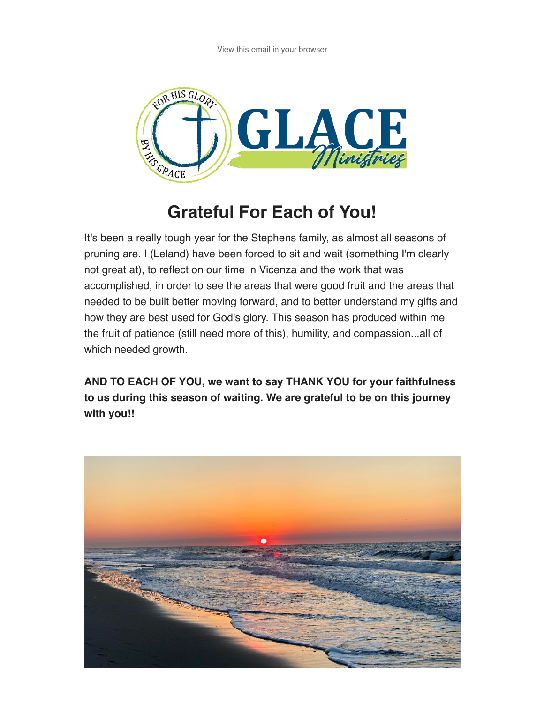

## **Grateful For Each of You!**

It's been a really tough year for the Stephens family, as almost all seasons of pruning are. I (Leland) have been forced to sit and wait (something I'm clearly not great at), to reflect on our time in Vicenza and the work that was accomplished, in order to see the areas that were good fruit and the areas that needed to be built better moving forward, and to better understand my gifts and how they are best used for God's glory. This season has produced within me the fruit of patience (still need more of this), humility, and compassion...all of which needed growth.

**AND TO EACH OF YOU, we want to say THANK YOU for your faithfulness to us during this season of waiting. We are grateful to be on this journey with you!!**

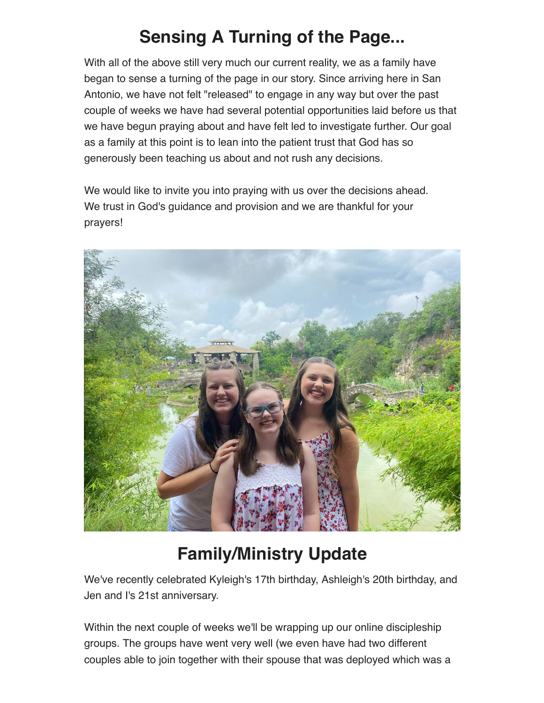## **Sensing A Turning of the Page...**

With all of the above still very much our current reality, we as a family have began to sense a turning of the page in our story. Since arriving here in San Antonio, we have not felt "released" to engage in any way but over the past couple of weeks we have had several potential opportunities laid before us that we have begun praying about and have felt led to investigate further. Our goal as a family at this point is to lean into the patient trust that God has so generously been teaching us about and not rush any decisions.

We would like to invite you into praying with us over the decisions ahead. We trust in God's guidance and provision and we are thankful for your prayers!



## **Family/Ministry Update**

We've recently celebrated Kyleigh's 17th birthday, Ashleigh's 20th birthday, and Jen and I's 21st anniversary.

Within the next couple of weeks we'll be wrapping up our online discipleship groups. The groups have went very well (we even have had two different couples able to join together with their spouse that was deployed which was a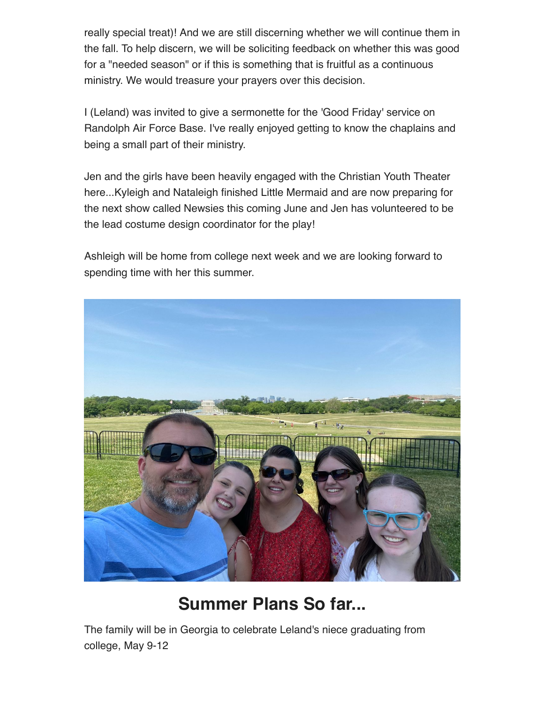really special treat)! And we are still discerning whether we will continue them in the fall. To help discern, we will be soliciting feedback on whether this was good for a "needed season" or if this is something that is fruitful as a continuous ministry. We would treasure your prayers over this decision.

I (Leland) was invited to give a sermonette for the 'Good Friday' service on Randolph Air Force Base. I've really enjoyed getting to know the chaplains and being a small part of their ministry.

Jen and the girls have been heavily engaged with the Christian Youth Theater here...Kyleigh and Nataleigh finished Little Mermaid and are now preparing for the next show called Newsies this coming June and Jen has volunteered to be the lead costume design coordinator for the play!

Ashleigh will be home from college next week and we are looking forward to spending time with her this summer.



## **Summer Plans So far...**

The family will be in Georgia to celebrate Leland's niece graduating from college, May 9-12